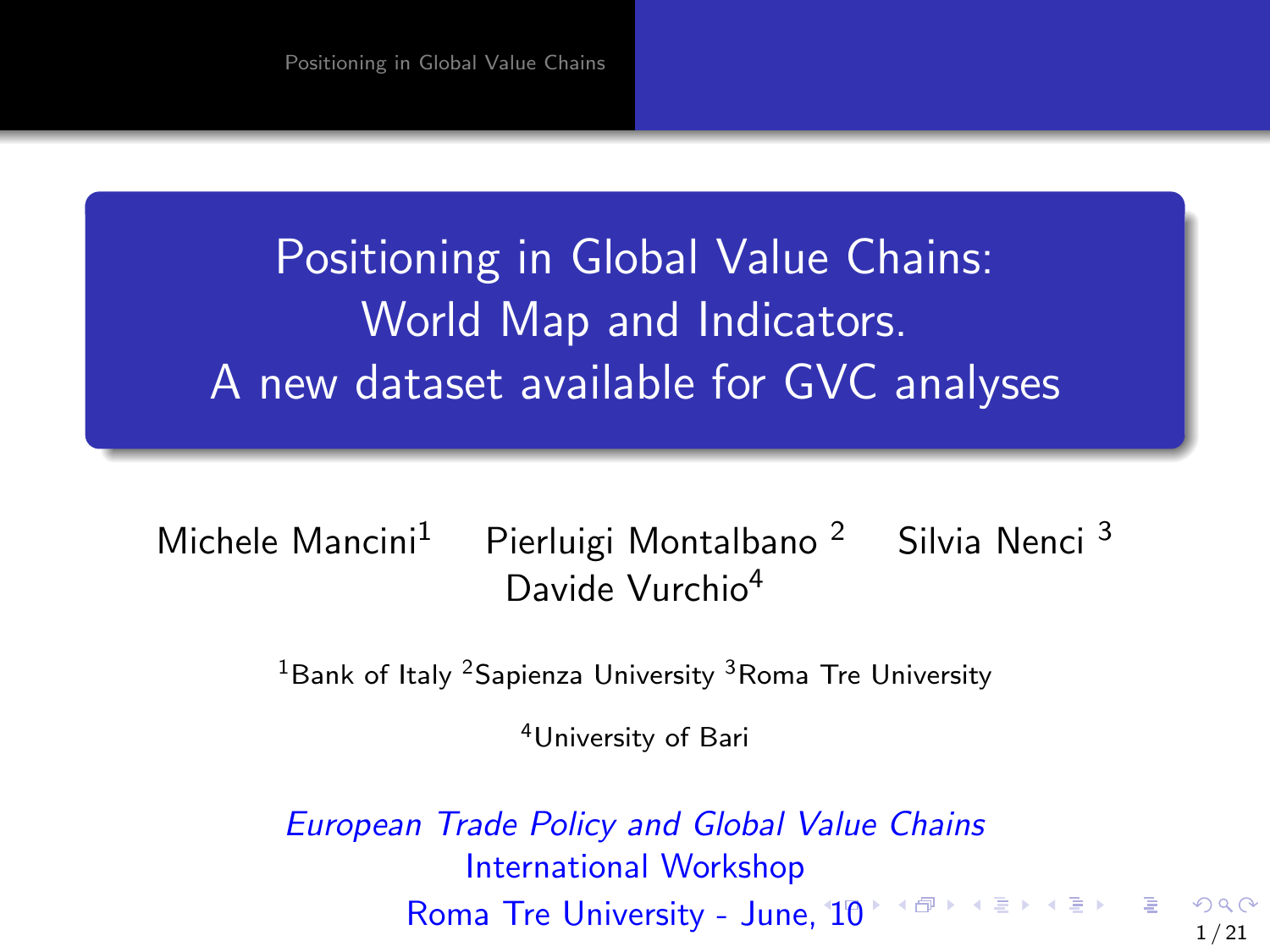<span id="page-0-0"></span>Positioning in Global Value Chains: World Map and Indicators. A new dataset available for GVC analyses

Michele Mancini<sup>1</sup> Pierluigi Montalbano<sup>2</sup> Silvia Nenci<sup>3</sup> Davide Vurchio<sup>4</sup>

 $1B$ ank of Italy <sup>2</sup>Sapienza University  $3R$ oma Tre University

<sup>4</sup>University of Bari

European Trade Policy and Global Value Chains International Workshop Roma Tre University - June,  $10^{+4}$  $10^{+4}$  $10^{+4}$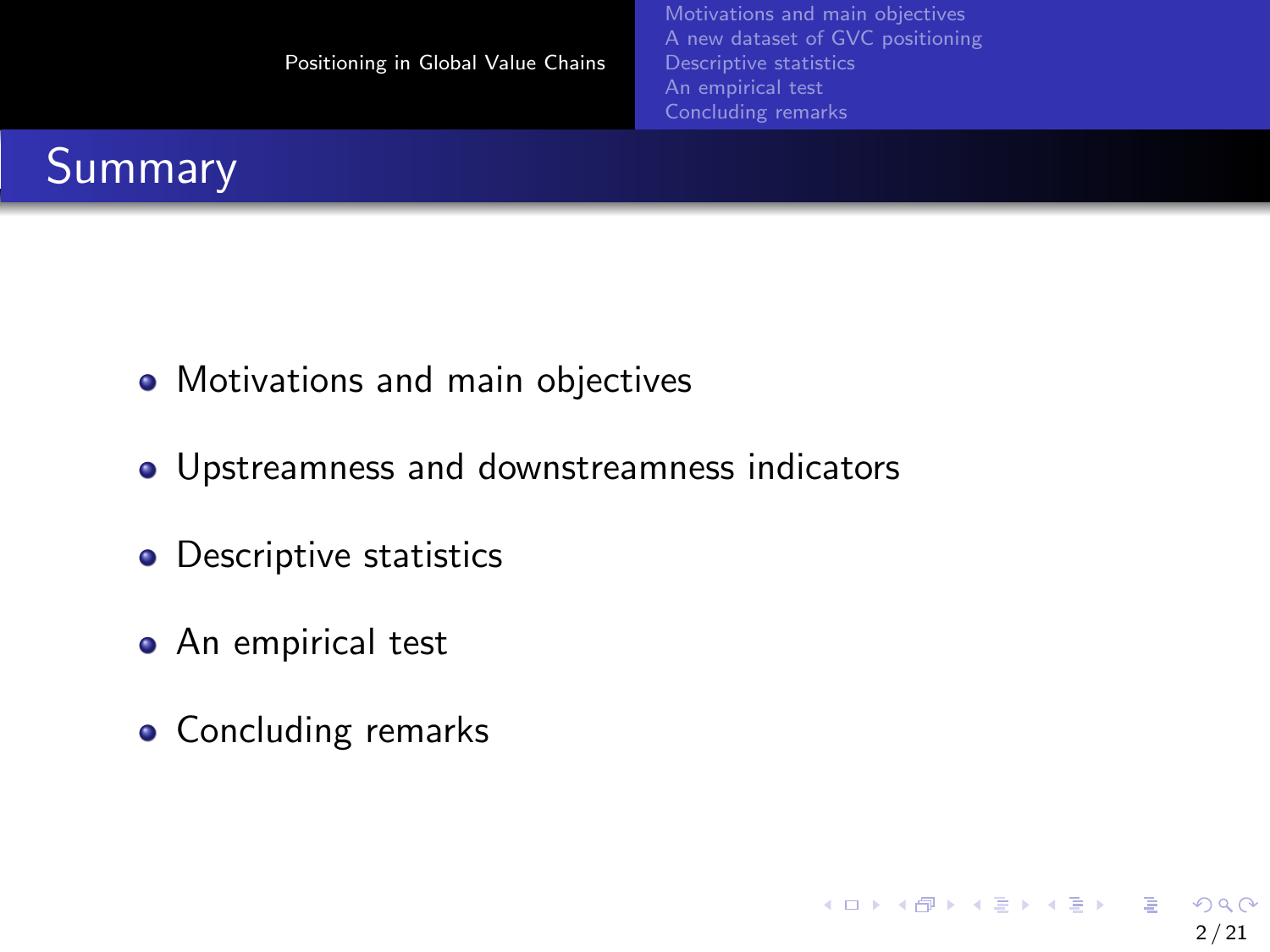<span id="page-1-0"></span>

- Motivations and main objectives
- Upstreamness and downstreamness indicators
- Descriptive statistics
- An empirical test
- Concluding remarks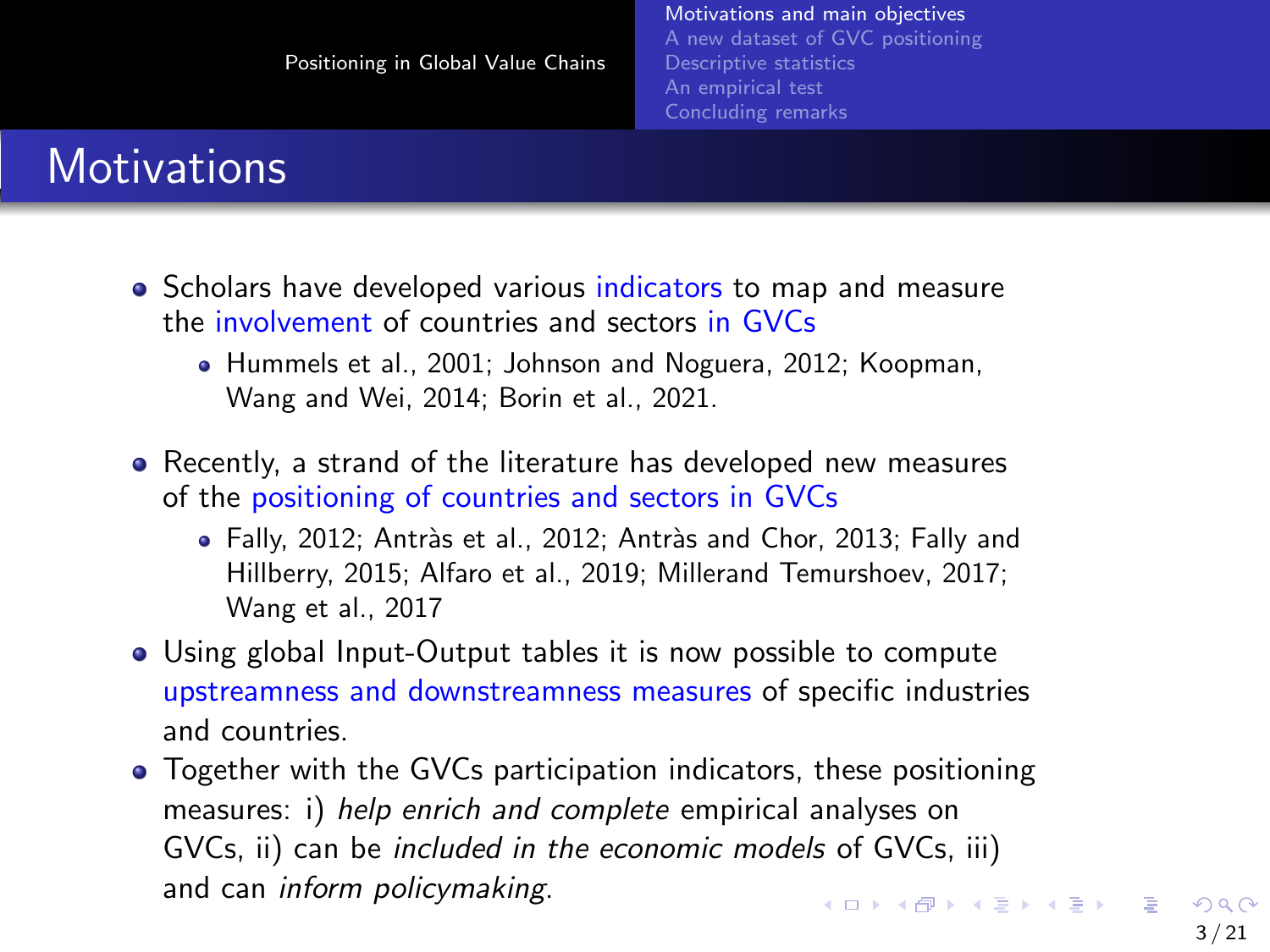#### <span id="page-2-0"></span>**Motivations**

- Scholars have developed various indicators to map and measure the involvement of countries and sectors in GVCs
	- Hummels et al., 2001; Johnson and Noguera, 2012; Koopman, Wang and Wei, 2014; Borin et al., 2021.
- Recently, a strand of the literature has developed new measures of the positioning of countries and sectors in GVCs
	- · Fally, 2012; Antràs et al., 2012; Antràs and Chor, 2013; Fally and Hillberry, 2015; Alfaro et al., 2019; Millerand Temurshoev, 2017; Wang et al., 2017
- Using global Input-Output tables it is now possible to compute upstreamness and downstreamness measures of specific industries and countries.
- Together with the GVCs participation indicators, these positioning measures: i) help enrich and complete empirical analyses on GVCs, ii) can be included in the economic models of GVCs, iii) and can inform policymaking.  $\mathbf{A} \oplus \mathbf{B} \rightarrow \mathbf{A} \oplus \mathbf{B} \rightarrow \mathbf{A} \oplus \mathbf{B} \rightarrow \mathbf{A} \oplus \mathbf{B} \rightarrow \mathbf{A}$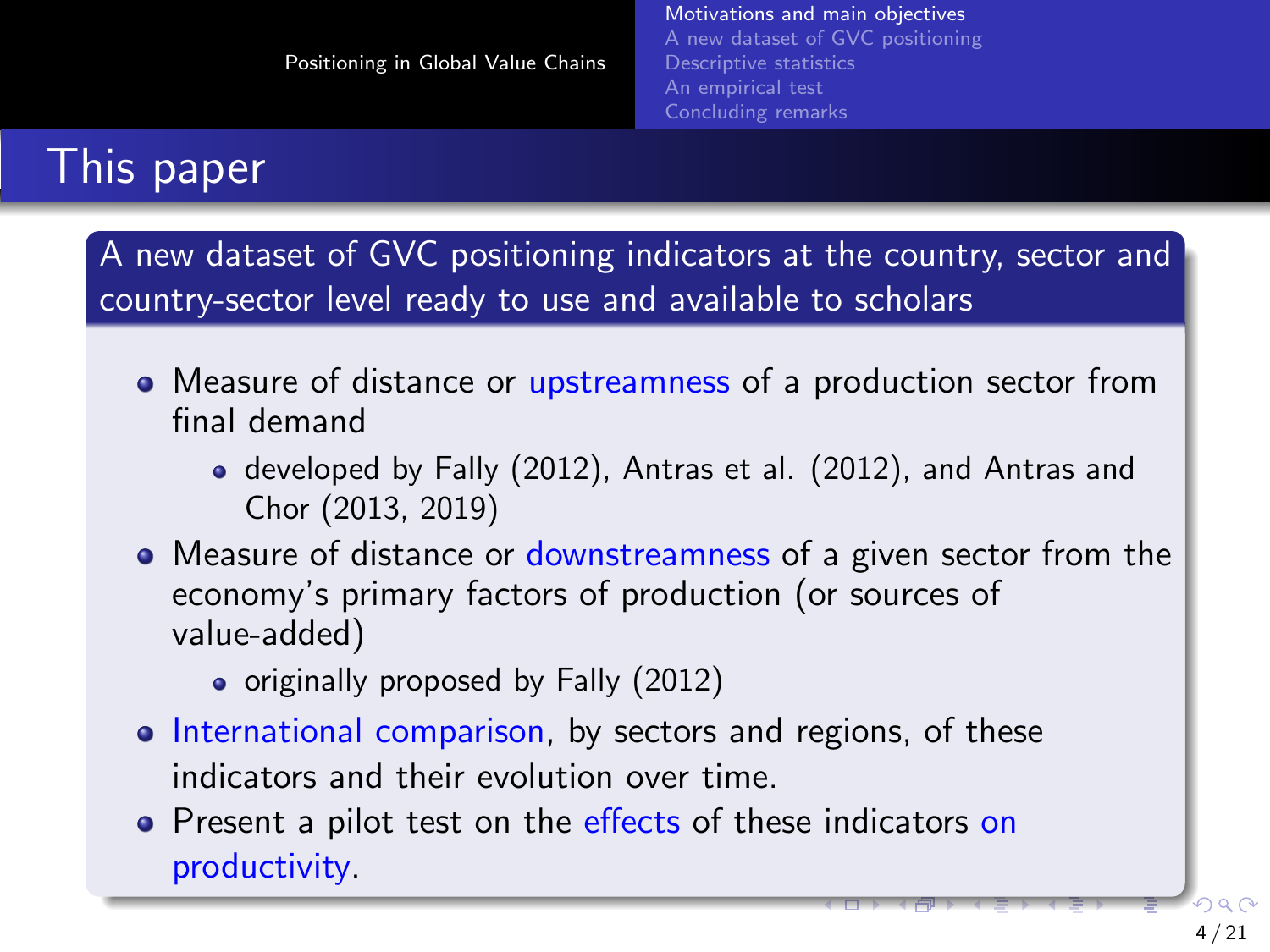## <span id="page-3-0"></span>This paper

A new dataset of GVC positioning indicators at the country, sector and country-sector level ready to use and available to scholars

- Measure of distance or upstreamness of a production sector from final demand
	- developed by Fally (2012), Antras et al. (2012), and Antras and Chor (2013, 2019)
- Measure of distance or downstreamness of a given sector from the economy's primary factors of production (or sources of value-added)
	- originally proposed by Fally (2012)
- International comparison, by sectors and regions, of these indicators and their evolution over time.
- **•** Present a pilot test on the effects of these indicators on productivity.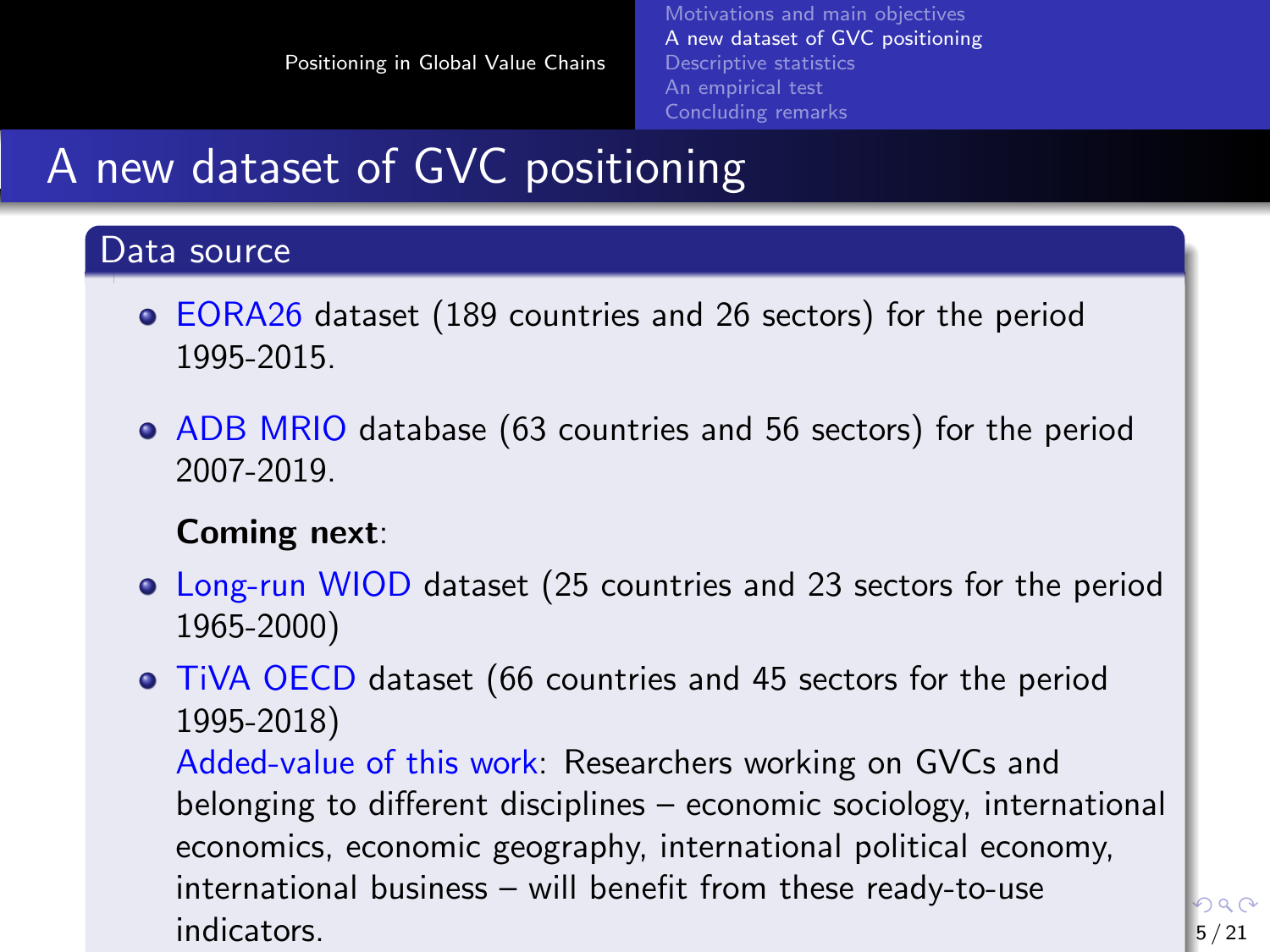[Motivations and main objectives](#page-2-0) [A new dataset of GVC positioning](#page-4-0) [Descriptive statistics](#page-9-0) [An empirical test](#page-12-0) [Concluding remarks](#page-19-0)

n a A

## <span id="page-4-0"></span>A new dataset of GVC positioning

#### Data source

- EORA26 dataset (189 countries and 26 sectors) for the period 1995-2015.
- ADB MRIO database (63 countries and 56 sectors) for the period 2007-2019.

#### Coming next:

- Long-run WIOD dataset (25 countries and 23 sectors for the period 1965-2000)
- TiVA OECD dataset (66 countries and 45 sectors for the period 1995-2018) Added-value of this work: Researchers working on GVCs and belonging to different disciplines – economic sociology, international economics, economic geography, international political economy, international business – will benefit from th[ese](#page-3-0) [re](#page-5-0)[a](#page-3-0)[dy](#page-4-0)[-t](#page-5-0)[o](#page-3-0)[-](#page-4-0)[u](#page-8-0)[se](#page-9-0)  $indicators.$   $5/21$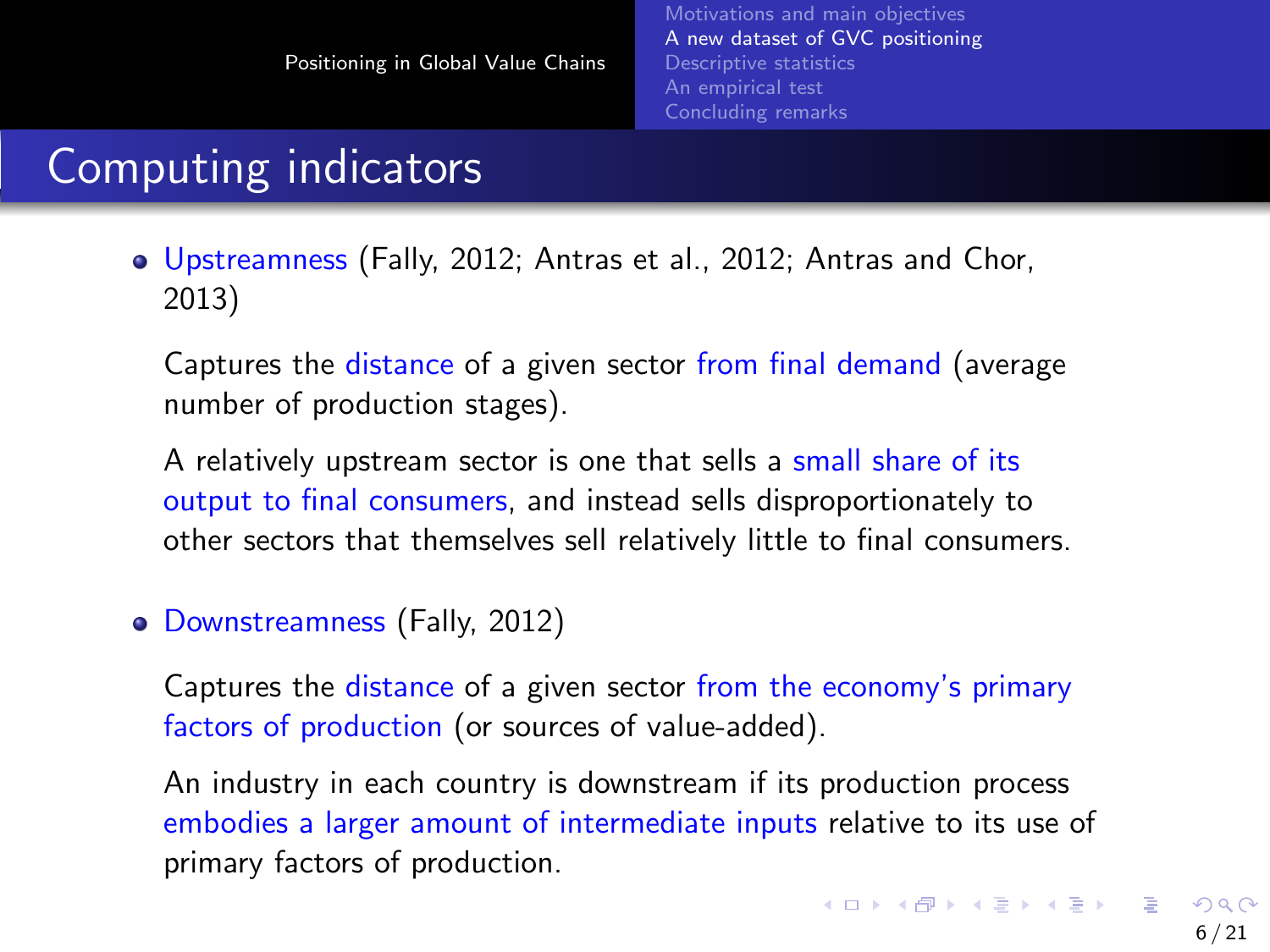## <span id="page-5-0"></span>Computing indicators

Upstreamness (Fally, 2012; Antras et al., 2012; Antras and Chor, 2013)

Captures the distance of a given sector from final demand (average number of production stages).

A relatively upstream sector is one that sells a small share of its output to final consumers, and instead sells disproportionately to other sectors that themselves sell relatively little to final consumers.

Downstreamness (Fally, 2012)

Captures the distance of a given sector from the economy's primary factors of production (or sources of value-added).

An industry in each country is downstream if its production process embodies a larger amount of intermediate inputs relative to its use of primary factors of production.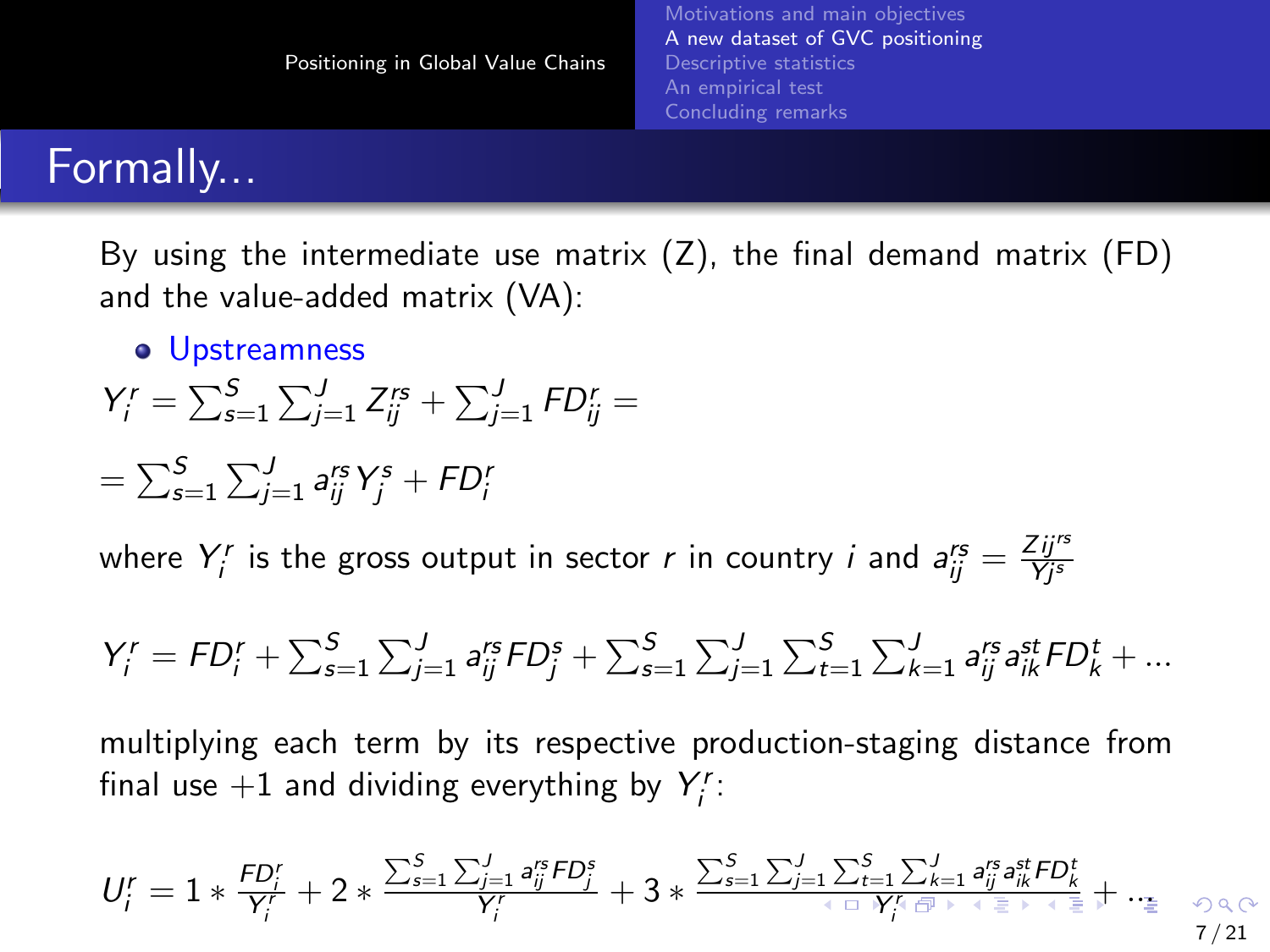#### <span id="page-6-0"></span>Formally...

By using the intermediate use matrix  $(Z)$ , the final demand matrix  $(FD)$ and the value-added matrix (VA):

**o** Upstreamness

$$
Y_i^r = \sum_{s=1}^S \sum_{j=1}^J Z_{ij}^{rs} + \sum_{j=1}^J FD_{ij}^r =
$$

$$
= \sum_{s=1}^{S} \sum_{j=1}^{J} a_{ij}^{rs} Y_j^s + F D_i^r
$$

where  $Y_i^r$  is the gross output in sector  $r$  in country  $i$  and  $a_{ij}^{rs} = \frac{Zij^{rs}}{Yj^s}$ 

$$
Y_{i}^{r} = F D_{i}^{r} + \sum_{s=1}^{S} \sum_{j=1}^{J} a_{ij}^{rs} F D_{j}^{s} + \sum_{s=1}^{S} \sum_{j=1}^{J} \sum_{t=1}^{S} \sum_{k=1}^{J} a_{ij}^{rs} a_{ik}^{st} F D_{k}^{t} + \dots
$$

multiplying each term by its respective production-staging distance from final use  $+1$  and dividing everything by  $Y_i^r$ :

$$
U_i^r = 1 * \frac{\textit{FD}_i^r}{Y_i^r} + 2 * \frac{\sum_{s=1}^S\sum_{j=1}^J a_{ij}^{rs}\textit{FD}_j^s}{Y_i^r} + 3 * \frac{\sum_{s=1}^S\sum_{j=1}^J\sum_{t=1}^S\sum_{k=1}^J a_{ij}^{rs}a_{ik}^{st}\textit{FD}_k^t}{Y_i^r\text{ of } \text{K-1}, \text{ with } \text{K-2}, \text{ with } \text{K-1}, \text{ with } \text{K-1}, \text{ with } \text{K-1}, \text{ with } \text{K-1}, \text{ with } \text{K-1} \text{ with } \text{K-1} \text{ with } \text{K-1} \text{ with } \text{K-1} \text{ with } \text{K-1} \text{ with } \text{K-1} \text{ with } \text{K-1} \text{ with } \text{K-1} \text{ with } \text{K-1} \text{ with } \text{K-1} \text{ with } \text{K-1} \text{ with } \text{K-1} \text{ with } \text{K-1} \text{ with } \text{K-1} \text{ with } \text{K-1} \text{ with } \text{K-1} \text{ with } \text{K-1} \text{ with } \text{K-1} \text{ with } \text{K-1} \text{ with } \text{K-1} \text{ with } \text{K-1} \text{ with } \text{K-1} \text{ with } \text{K-1} \text{ with } \text{K-1} \text{ with } \text{K-1} \text{ with } \text{K-1} \text{ with } \text{K-1} \text{ with } \text{K-1} \text{ with } \text{K-1} \text{ with } \text{K-1} \text{ with } \text{K-1} \text{ with } \text{K-1} \text{ with } \text{K-1} \text{ with } \text{K-1} \text{ with } \text{K-1} \text{ with } \text{K-1} \text{ with } \text{K-1} \text{ with } \text{K-1} \text{ with } \text{K-1} \text{ with } \text{K-1} \text{ with } \text{K-1} \text{ with } \text{K-1} \text{ with } \text{K-1} \text{ with } \text{K-1} \text{ with } \text{K-1} \text{ with } \text{
$$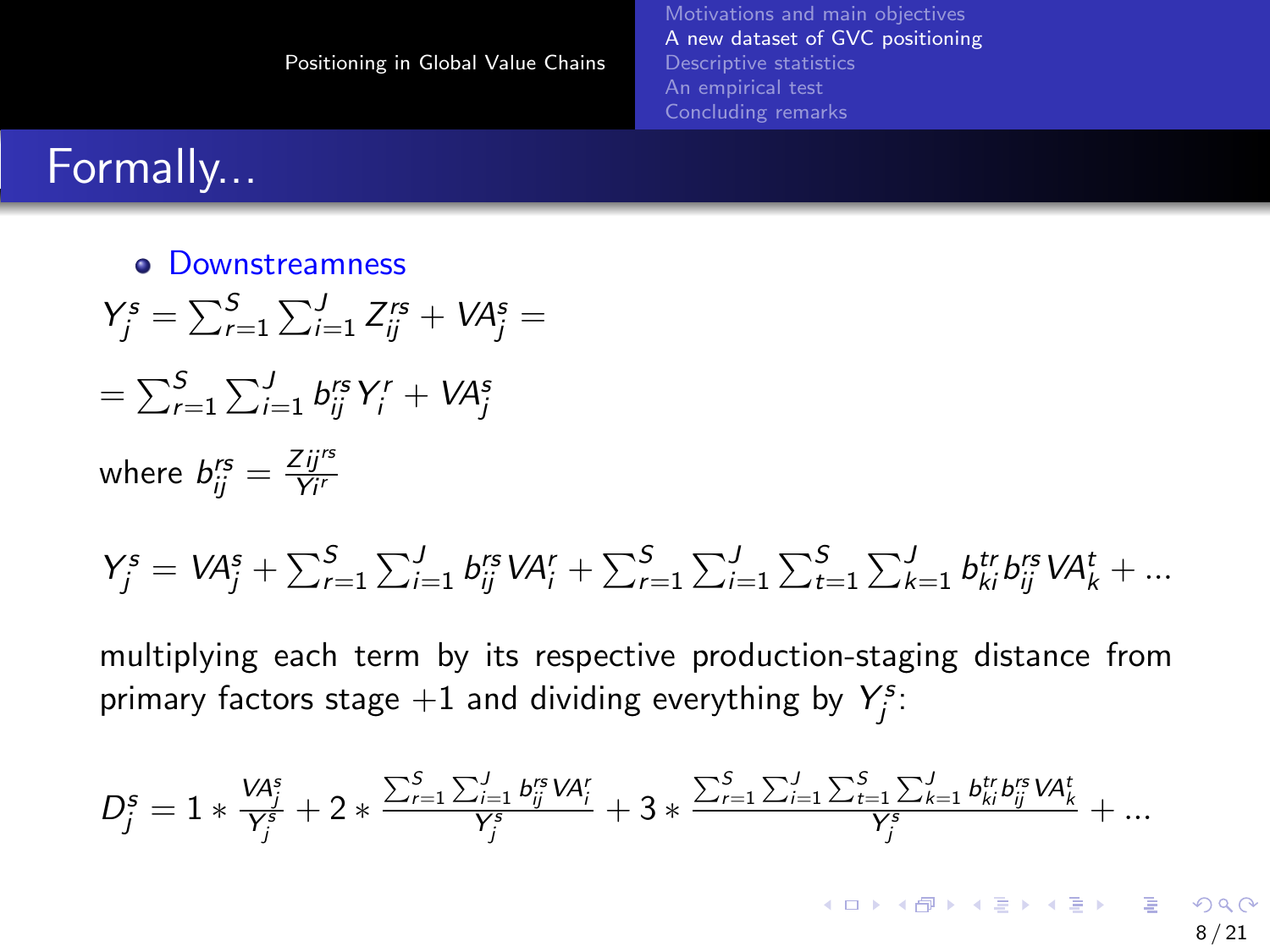## <span id="page-7-0"></span>Formally...

**• Downstreamness**  $Y_j^s = \sum_{r=1}^S \sum_{i=1}^J Z_{ij}^{rs} + VA_j^s =$  $=\sum_{r=1}^{\mathcal{S}}\sum_{i=1}^{J}b^{rs}_{ij}Y^{r}_{i}+V\!A^{s}_{j}$ where  $b_{ij}^{rs} = \frac{Zij^{rs}}{Yi^{r}}$  $Y_j^s = V A_j^s + \sum_{r=1}^S \sum_{i=1}^J b_{ij}^{rs} V A_i^r + \sum_{r=1}^S \sum_{i=1}^J \sum_{t=1}^S \sum_{k=1}^J b_{ki}^{tr} b_{ij}^{rs} V A_k^t + ...$ 

multiplying each term by its respective production-staging distance from primary factors stage  $+1$  and dividing everything by  $Y_j^s$ :

$$
D_{j}^{s}=1*\tfrac{V\!A_{j}^{s}}{Y_{j}^{s}}+2*\tfrac{\sum_{r=1}^{S}\sum_{i=1}^{J}b_{ij}^{rs}V\!A_{i}^{r}}{Y_{j}^{s}}+3*\tfrac{\sum_{r=1}^{S}\sum_{i=1}^{J}\sum_{t=1}^{S}\sum_{k=1}^{J}b_{ki}^{tr}b_{ij}^{rs}V\!A_{k}^{t}}{Y_{j}^{s}}+...
$$

 $A \equiv \mathbf{1} + \mathbf{1} + \mathbf{1} + \mathbf{1} + \mathbf{1} + \mathbf{1} + \mathbf{1} + \mathbf{1} + \mathbf{1} + \mathbf{1} + \mathbf{1} + \mathbf{1} + \mathbf{1} + \mathbf{1} + \mathbf{1} + \mathbf{1} + \mathbf{1} + \mathbf{1} + \mathbf{1} + \mathbf{1} + \mathbf{1} + \mathbf{1} + \mathbf{1} + \mathbf{1} + \mathbf{1} + \mathbf{1} + \mathbf{1} + \mathbf{1} + \mathbf{1} + \mathbf{1} + \mathbf{1} +$  $209$ 8 / 21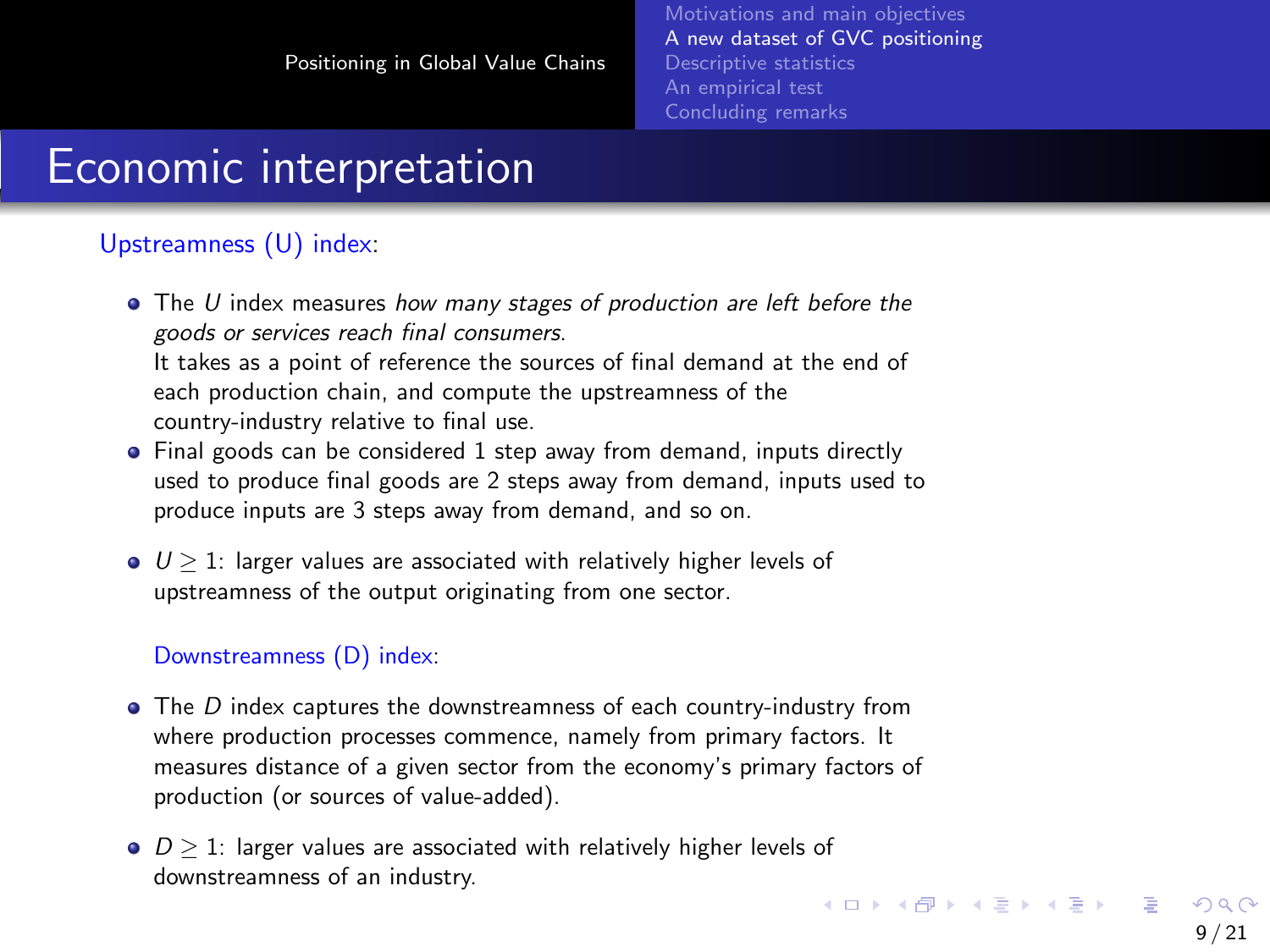### <span id="page-8-0"></span>Economic interpretation

#### Upstreamness (U) index:

- The U index measures how many stages of production are left before the goods or services reach final consumers. It takes as a point of reference the sources of final demand at the end of each production chain, and compute the upstreamness of the
	- country-industry relative to final use.
- Final goods can be considered 1 step away from demand, inputs directly used to produce final goods are 2 steps away from demand, inputs used to produce inputs are 3 steps away from demand, and so on.
- $\bullet$   $U > 1$ : larger values are associated with relatively higher levels of upstreamness of the output originating from one sector.

#### Downstreamness (D) index:

- $\bullet$  The D index captures the downstreamness of each country-industry from where production processes commence, namely from primary factors. It measures distance of a given sector from the economy's primary factors of production (or sources of value-added).
- $\bullet$   $D \geq 1$ : larger values are associated with relatively higher levels of downstreamness of an industry.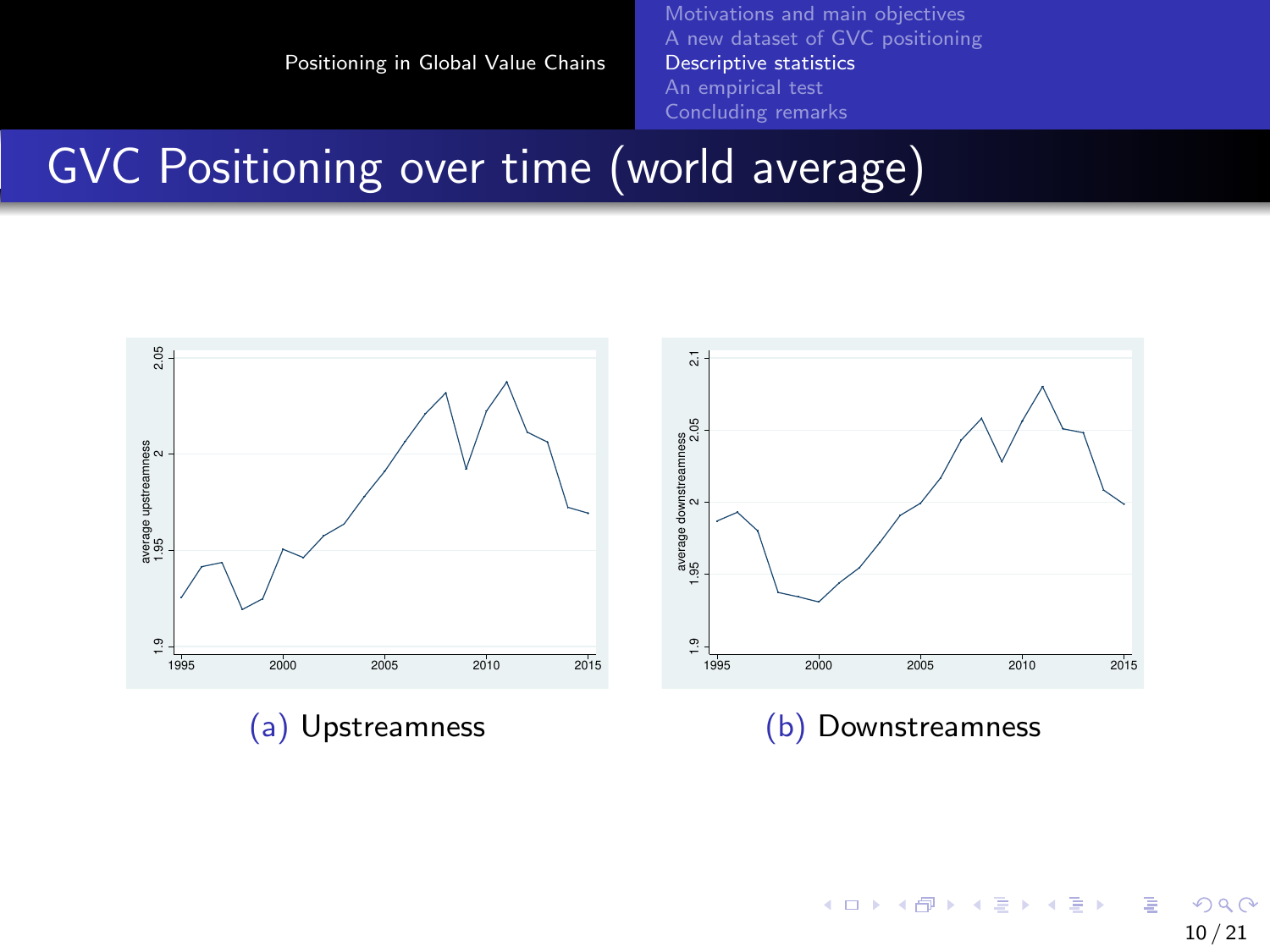[Motivations and main objectives](#page-2-0) [A new dataset of GVC positioning](#page-4-0) [Descriptive statistics](#page-9-0) [An empirical test](#page-12-0) [Concluding remarks](#page-19-0)

#### <span id="page-9-0"></span>GVC Positioning over time (world average)



メロメ メ御 メメ ミメメ ヨメ э  $2990$ 10 / 21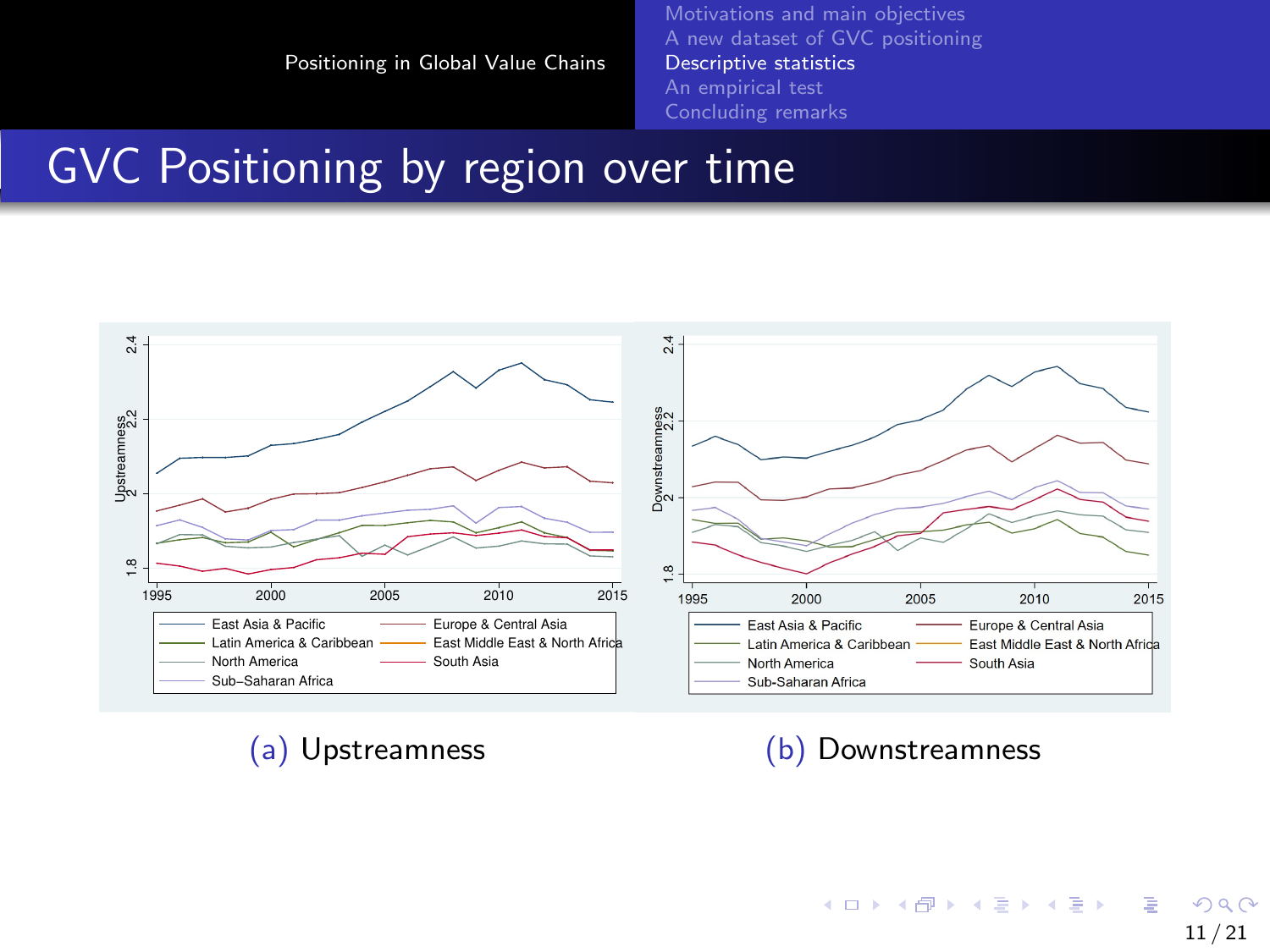[Motivations and main objectives](#page-2-0) [A new dataset of GVC positioning](#page-4-0) [Descriptive statistics](#page-9-0) [An empirical test](#page-12-0) [Concluding remarks](#page-19-0)

#### GVC Positioning by region over time



(a) Upstreamness (b) Downstreamness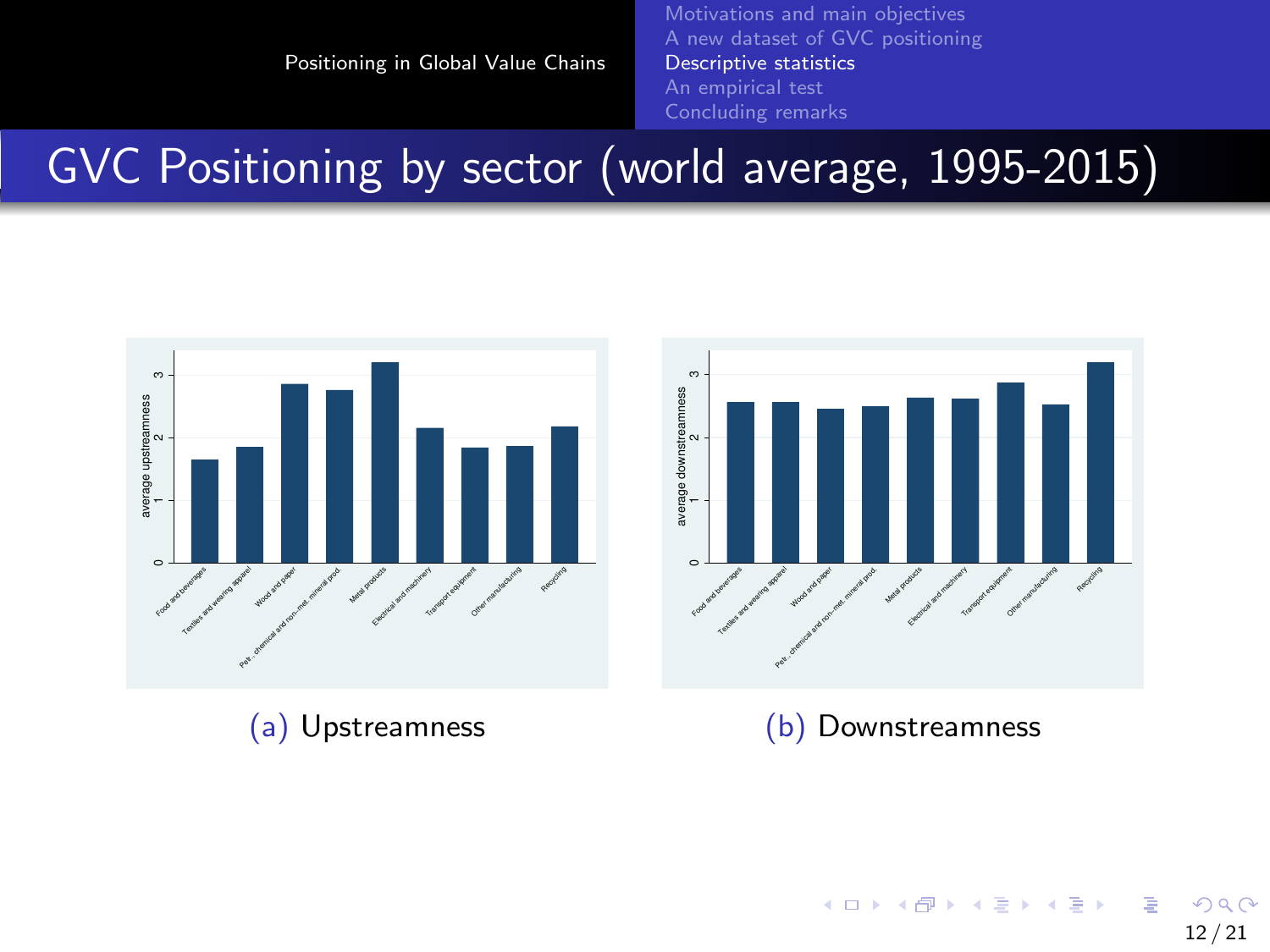[Motivations and main objectives](#page-2-0) [A new dataset of GVC positioning](#page-4-0) [Descriptive statistics](#page-9-0) [An empirical test](#page-12-0) [Concluding remarks](#page-19-0)

# <span id="page-11-0"></span>GVC Positioning by sector (world average, 1995-2015)



メロメメ 倒 メメ きょくきょう э  $2990$ 12 / 21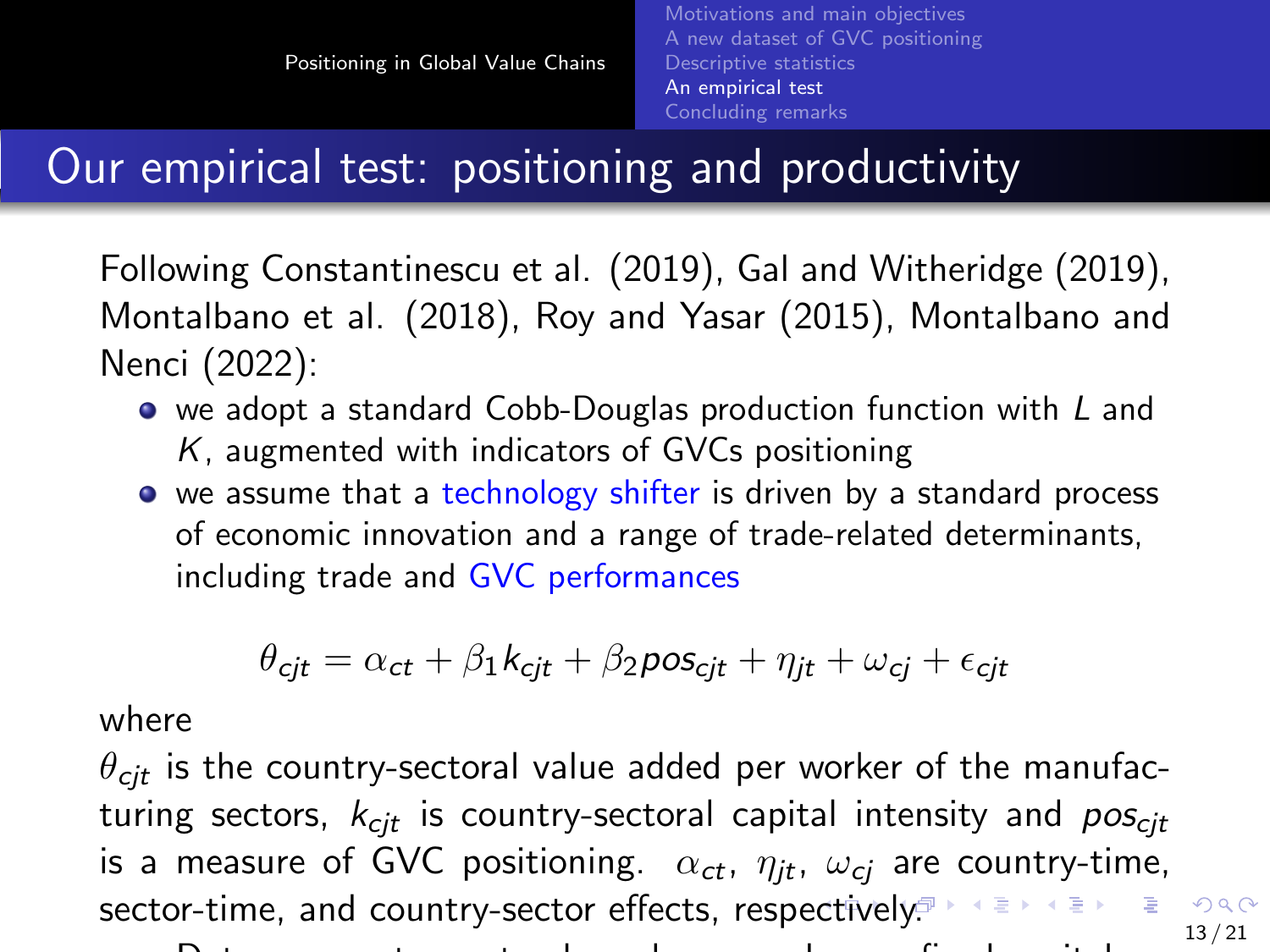## <span id="page-12-0"></span>Our empirical test: positioning and productivity

Following Constantinescu et al. (2019), Gal and Witheridge (2019), Montalbano et al. (2018), Roy and Yasar (2015), Montalbano and Nenci (2022):

- we adopt a standard Cobb-Douglas production function with L and  $K$ , augmented with indicators of GVCs positioning
- we assume that a technology shifter is driven by a standard process of economic innovation and a range of trade-related determinants, including trade and GVC performances

$$
\theta_{\text{cjt}} = \alpha_{\text{ct}} + \beta_1 k_{\text{cjt}} + \beta_2 \text{pos}_{\text{cjt}} + \eta_{\text{jt}} + \omega_{\text{cj}} + \epsilon_{\text{cjt}}
$$

where

 $\theta_{\text{cit}}$  is the country-sectoral value added per worker of the manufacturing sectors,  $k_{\text{cit}}$  is country-sectoral capital intensity and  $pos_{\text{cit}}$ is a measure of GVC positioning.  $\alpha_{ct}$ ,  $\eta_{it}$ ,  $\omega_{ci}$  are country-time,  $\mathbb{R}^d \times \mathbb{R}^d \xrightarrow{\cong} \mathbb{R}^d$ s[ect](#page-11-0)or-time, and country-sector effects, respecti[ve](#page-13-0)[ly](#page-11-0)[.](#page-12-0)<sup>3</sup>  $299$ 13 / 21

Data on country-sectoral employees and gross fixed capital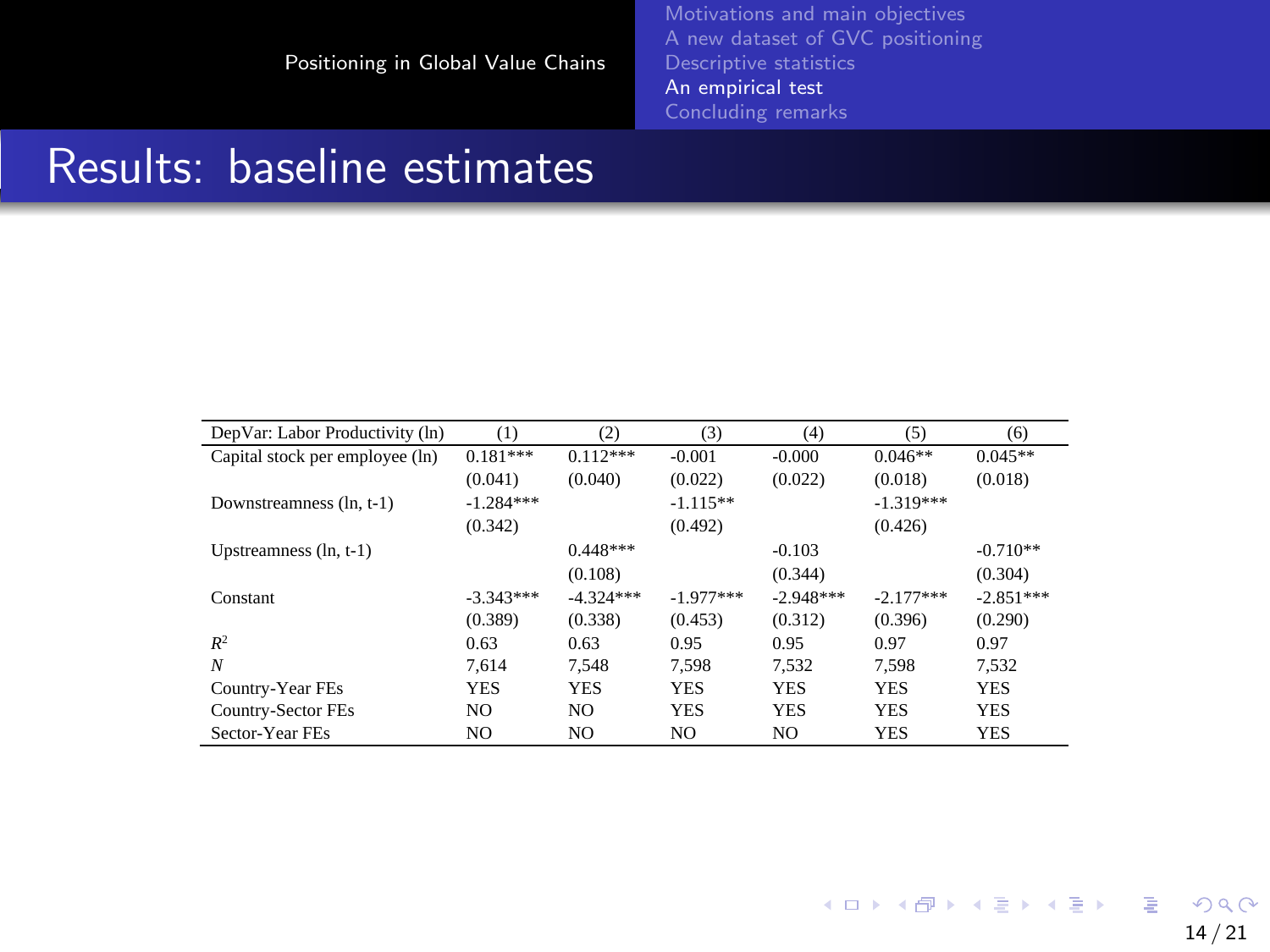[Motivations and main objectives](#page-2-0) [Descriptive statistics](#page-9-0) [An empirical test](#page-12-0)

#### <span id="page-13-0"></span>Results: baseline estimates

| DepVar: Labor Productivity (ln) | (1)         | (2)         | (3)         | (4)         | (5)         | (6)         |
|---------------------------------|-------------|-------------|-------------|-------------|-------------|-------------|
| Capital stock per employee (ln) | $0.181***$  | $0.112***$  | $-0.001$    | $-0.000$    | $0.046**$   | $0.045**$   |
|                                 | (0.041)     | (0.040)     | (0.022)     | (0.022)     | (0.018)     | (0.018)     |
| Downstreamness (ln. t-1)        | $-1.284***$ |             | $-1.115**$  |             | $-1.319***$ |             |
|                                 | (0.342)     |             | (0.492)     |             | (0.426)     |             |
| Upstreamness $(ln, t-1)$        |             | $0.448***$  |             | $-0.103$    |             | $-0.710**$  |
|                                 |             | (0.108)     |             | (0.344)     |             | (0.304)     |
| Constant                        | $-3.343***$ | $-4.324***$ | $-1.977***$ | $-2.948***$ | $-2.177***$ | $-2.851***$ |
|                                 | (0.389)     | (0.338)     | (0.453)     | (0.312)     | (0.396)     | (0.290)     |
| $R^2$                           | 0.63        | 0.63        | 0.95        | 0.95        | 0.97        | 0.97        |
| N                               | 7.614       | 7.548       | 7.598       | 7.532       | 7.598       | 7.532       |
| Country-Year FEs                | <b>YES</b>  | <b>YES</b>  | <b>YES</b>  | <b>YES</b>  | <b>YES</b>  | <b>YES</b>  |
| Country-Sector FEs              | NO.         | NO.         | <b>YES</b>  | <b>YES</b>  | <b>YES</b>  | <b>YES</b>  |
| Sector-Year FEs                 | NO.         | NO.         | NO.         | NO.         | <b>YES</b>  | <b>YES</b>  |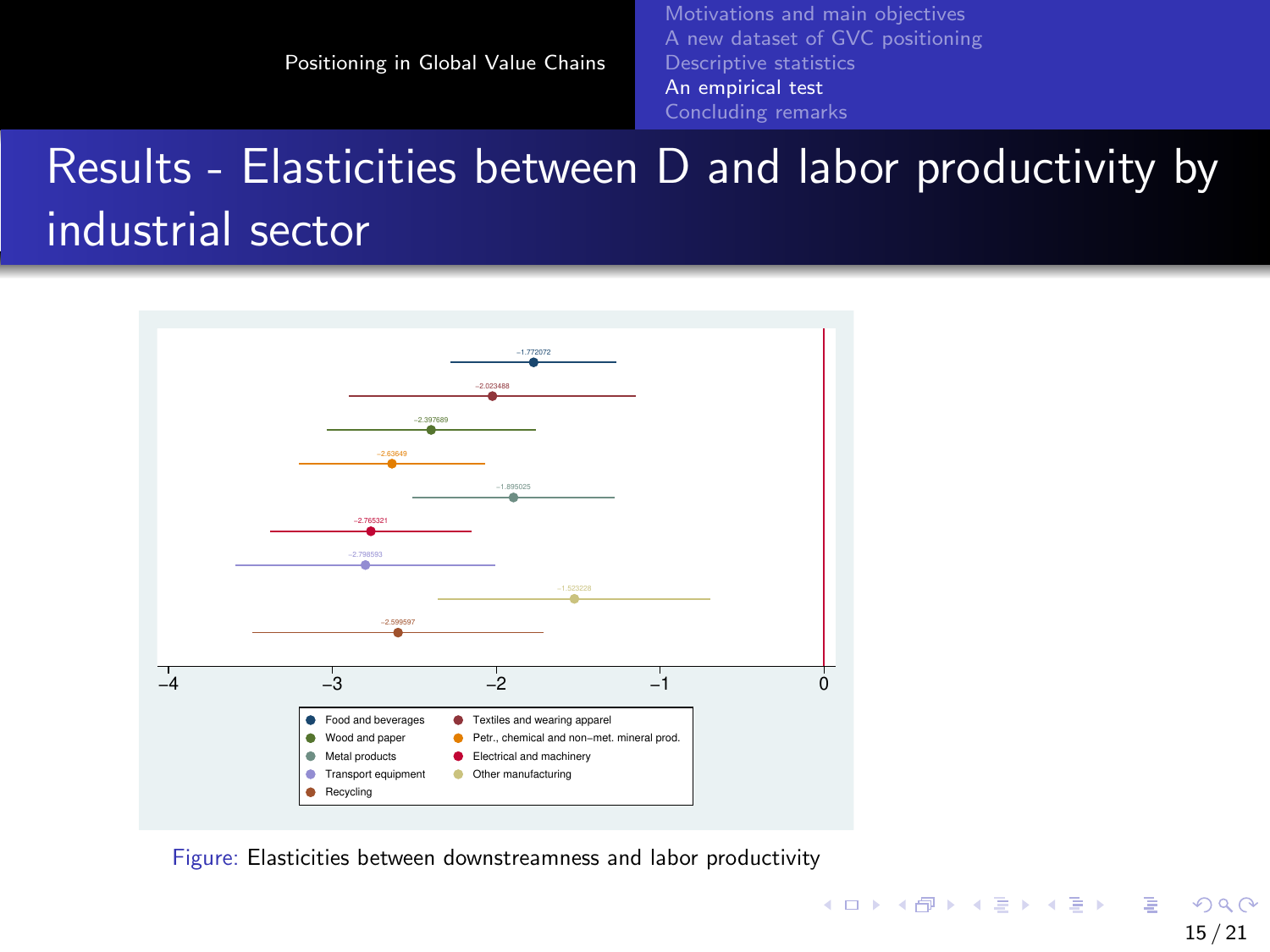[Motivations and main objectives](#page-2-0) [A new dataset of GVC positioning](#page-4-0) [Descriptive statistics](#page-9-0) [An empirical test](#page-12-0) [Concluding remarks](#page-19-0)

# Results - Elasticities between D and labor productivity by industrial sector



Figure: Elasticities between downstreamness and labor productivity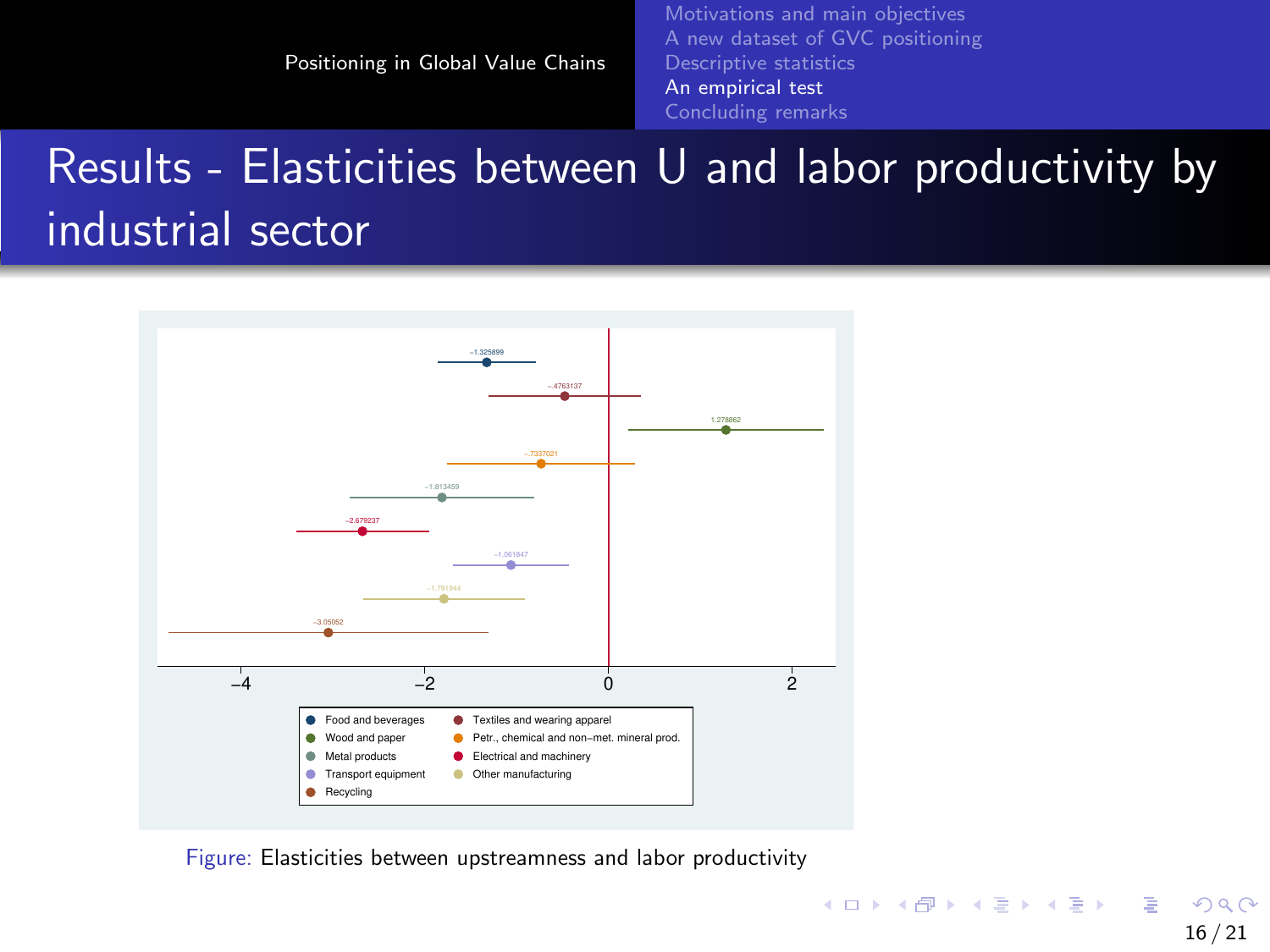# Results - Elasticities between U and labor productivity by industrial sector



Figure: Elasticities between upstreamness and labor productivity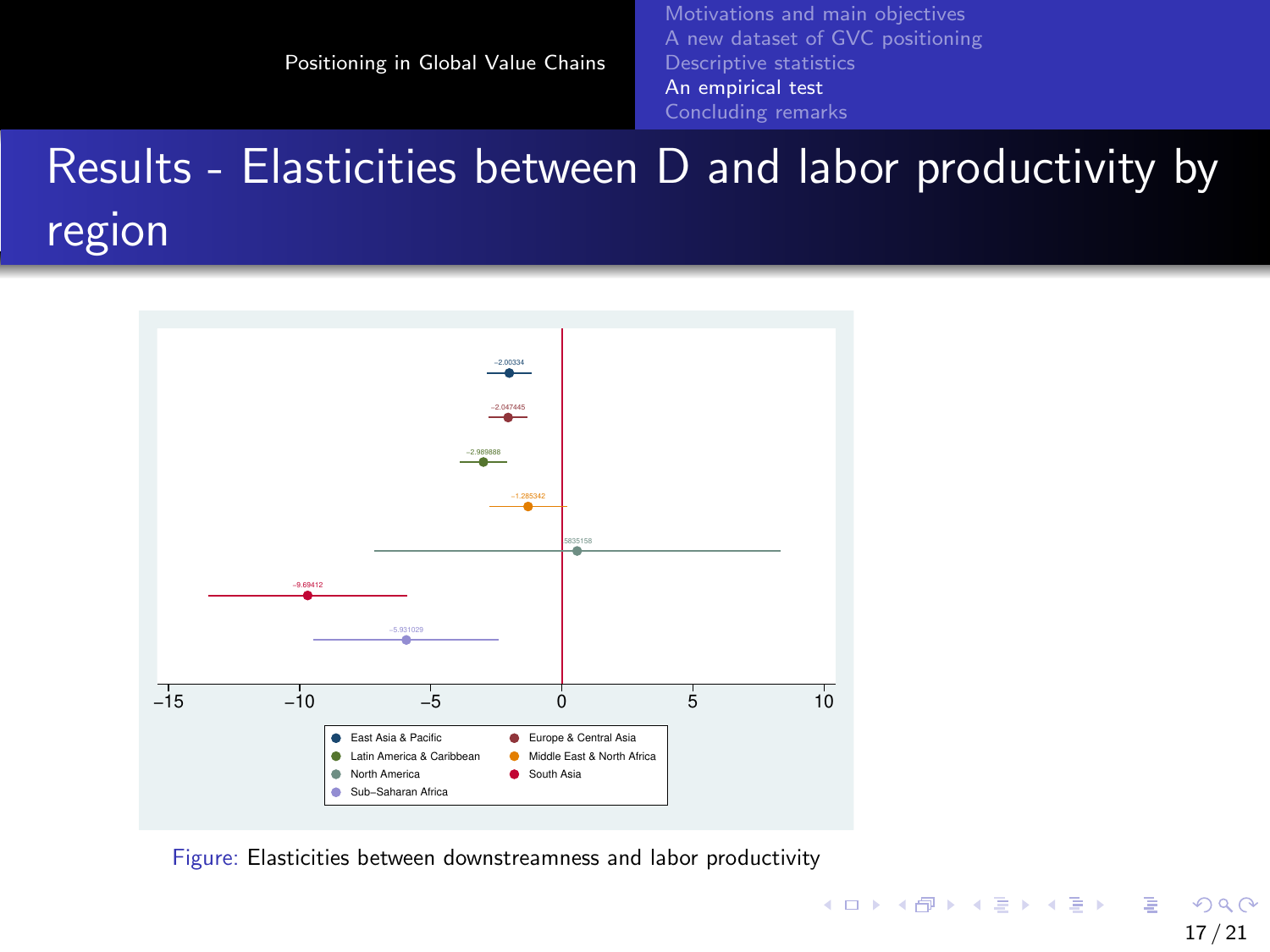[Motivations and main objectives](#page-2-0) [A new dataset of GVC positioning](#page-4-0) [Descriptive statistics](#page-9-0) [An empirical test](#page-12-0) [Concluding remarks](#page-19-0)

# Results - Elasticities between D and labor productivity by region



Figure: Elasticities between downstreamness and labor productivity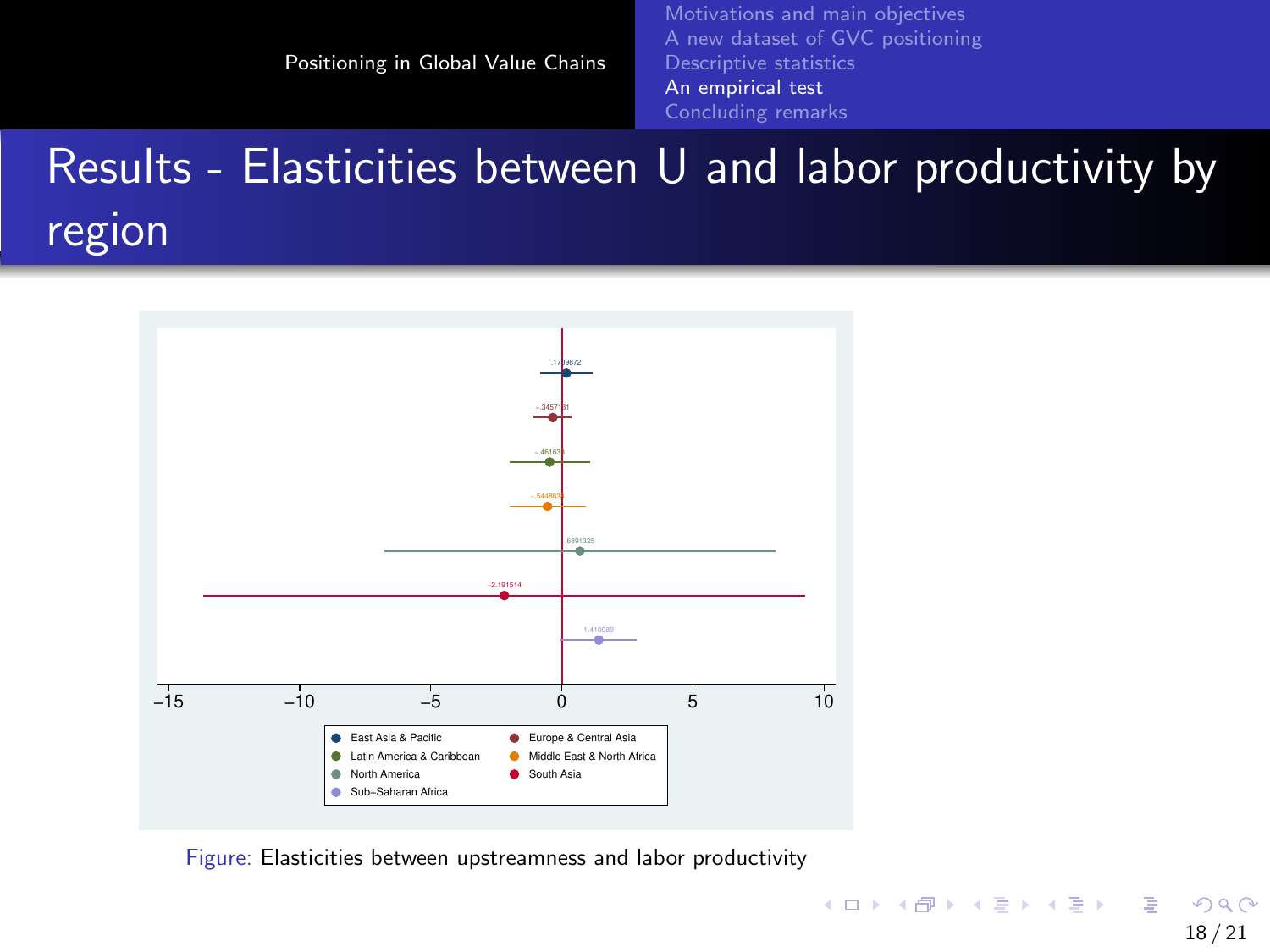[Motivations and main objectives](#page-2-0) [A new dataset of GVC positioning](#page-4-0) [Descriptive statistics](#page-9-0) [An empirical test](#page-12-0) [Concluding remarks](#page-19-0)

# Results - Elasticities between U and labor productivity by region



Figure: Elasticities between upstreamness and labor productivity

イロト イ押 トイヨ トイヨ トー B  $QQ$ 18 / 21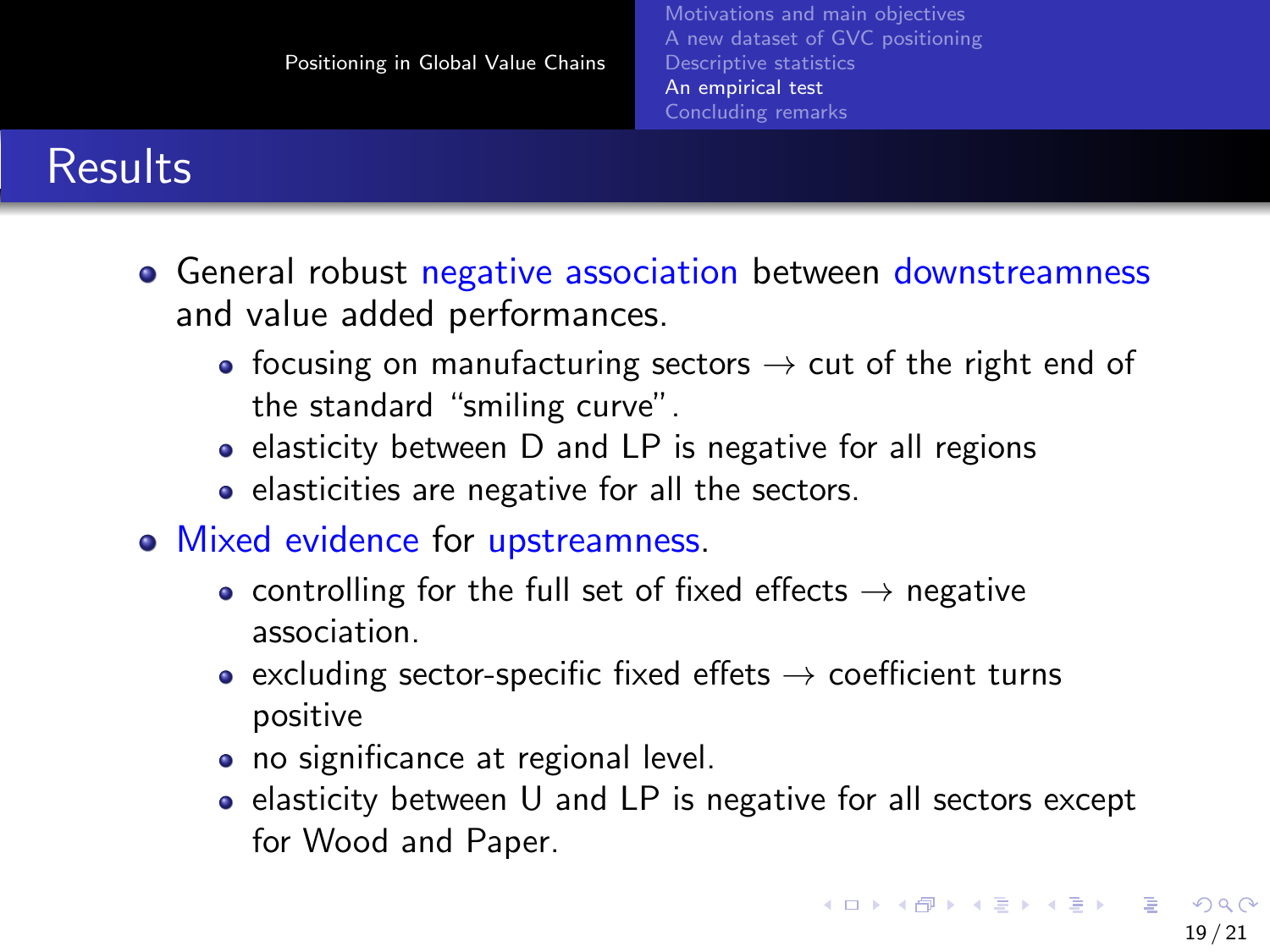#### **Results**

- General robust negative association between downstreamness and value added performances.
	- focusing on manufacturing sectors  $\rightarrow$  cut of the right end of the standard "smiling curve".
	- elasticity between D and LP is negative for all regions
	- elasticities are negative for all the sectors.
- Mixed evidence for upstreamness.
	- controlling for the full set of fixed effects  $\rightarrow$  negative association.
	- excluding sector-specific fixed effets  $\rightarrow$  coefficient turns positive
	- no significance at regional level.
	- $\bullet$  elasticity between U and LP is negative for all sectors except for Wood and Paper.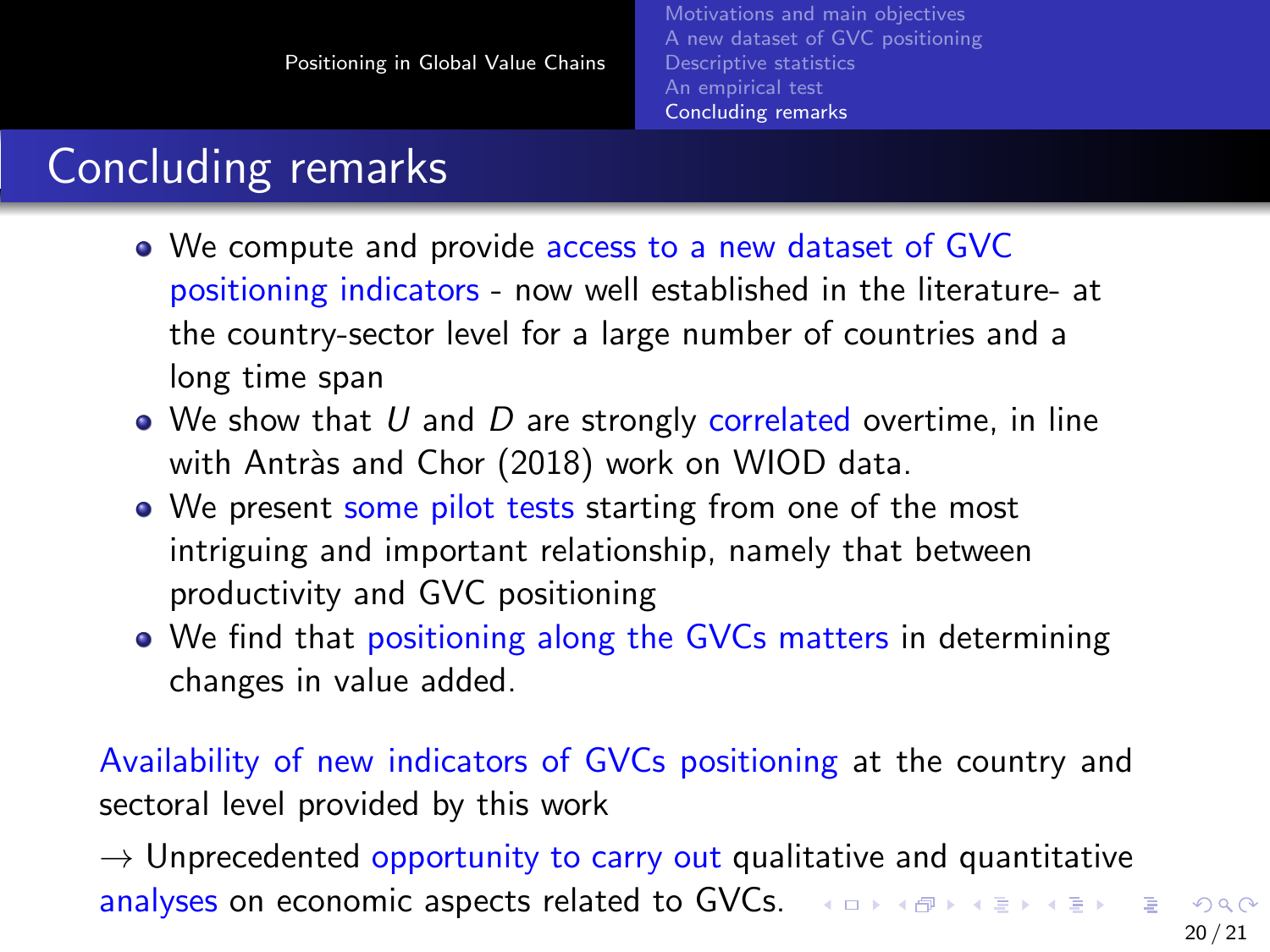## <span id="page-19-0"></span>Concluding remarks

- We compute and provide access to a new dataset of GVC positioning indicators - now well established in the literature- at the country-sector level for a large number of countries and a long time span
- $\bullet$  We show that U and D are strongly correlated overtime, in line with Antràs and Chor (2018) work on WIOD data.
- We present some pilot tests starting from one of the most intriguing and important relationship, namely that between productivity and GVC positioning
- We find that positioning along the GVCs matters in determining changes in value added.

Availability of new indicators of GVCs positioning at the country and sectoral level provided by this work

 $\rightarrow$  Unprecedented opportunity to carry out qualitative and quantitative analyses on economic aspects related to GVCs. And A REPARDY REPARDY